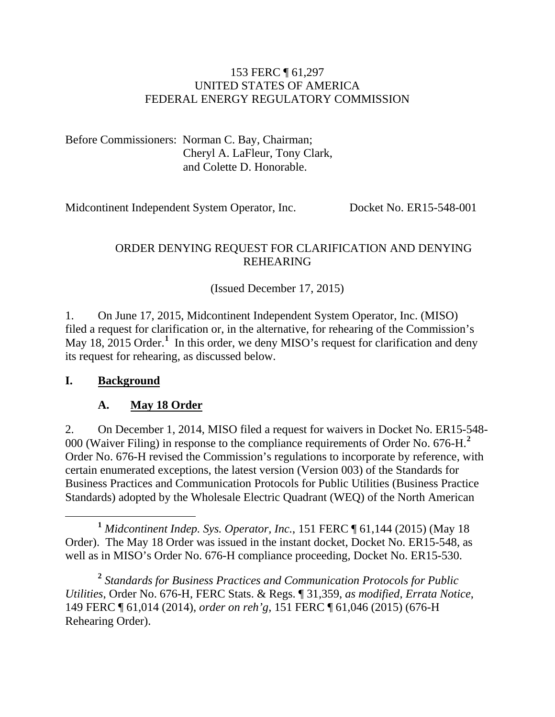#### 153 FERC ¶ 61,297 UNITED STATES OF AMERICA FEDERAL ENERGY REGULATORY COMMISSION

Before Commissioners: Norman C. Bay, Chairman; Cheryl A. LaFleur, Tony Clark, and Colette D. Honorable.

Midcontinent Independent System Operator, Inc. Docket No. ER15-548-001

### ORDER DENYING REQUEST FOR CLARIFICATION AND DENYING REHEARING

(Issued December 17, 2015)

1. On June 17, 2015, Midcontinent Independent System Operator, Inc. (MISO) filed a request for clarification or, in the alternative, for rehearing of the Commission's May [1](#page-0-0)8, 2015 Order.<sup>1</sup> In this order, we deny MISO's request for clarification and deny its request for rehearing, as discussed below.

#### **I. Background**

## **A. May 18 Order**

2. On December 1, 2014, MISO filed a request for waivers in Docket No. ER15-548- 000 (Waiver Filing) in response to the compliance requirements of Order No. 676-H.**[2](#page-0-1)** Order No. 676-H revised the Commission's regulations to incorporate by reference, with certain enumerated exceptions, the latest version (Version 003) of the Standards for Business Practices and Communication Protocols for Public Utilities (Business Practice Standards) adopted by the Wholesale Electric Quadrant (WEQ) of the North American

<span id="page-0-0"></span>**<sup>1</sup>** *Midcontinent Indep. Sys. Operator, Inc.*, 151 FERC ¶ 61,144 (2015) (May 18 Order). The May 18 Order was issued in the instant docket, Docket No. ER15-548, as well as in MISO's Order No. 676-H compliance proceeding, Docket No. ER15-530.

<span id="page-0-1"></span>**<sup>2</sup>** *Standards for Business Practices and Communication Protocols for Public Utilities*, Order No. 676-H, FERC Stats. & Regs. ¶ 31,359, *as modified*, *Errata Notice*, 149 FERC ¶ 61,014 (2014), *order on reh'g*, 151 FERC ¶ 61,046 (2015) (676-H Rehearing Order).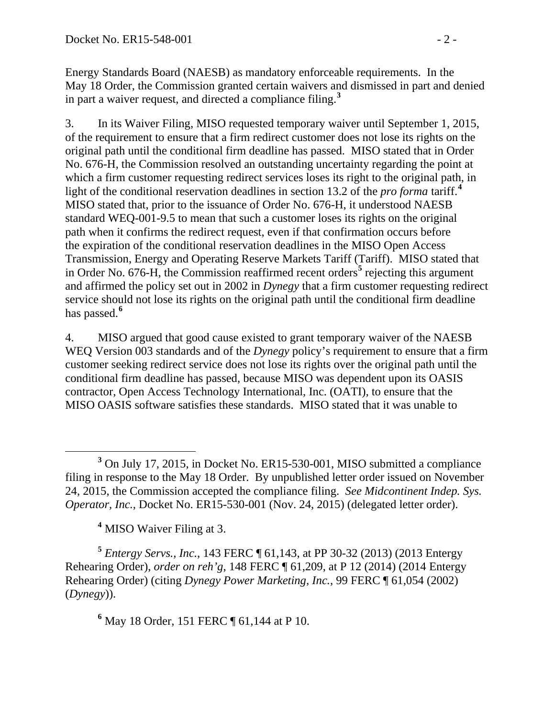Energy Standards Board (NAESB) as mandatory enforceable requirements. In the May 18 Order, the Commission granted certain waivers and dismissed in part and denied in part a waiver request, and directed a compliance filing. **[3](#page-1-0)**

3. In its Waiver Filing, MISO requested temporary waiver until September 1, 2015, of the requirement to ensure that a firm redirect customer does not lose its rights on the original path until the conditional firm deadline has passed. MISO stated that in Order No. 676-H, the Commission resolved an outstanding uncertainty regarding the point at which a firm customer requesting redirect services loses its right to the original path, in light of the conditional reservation deadlines in section 13.2 of the *pro forma* tariff.**[4](#page-1-1)** MISO stated that, prior to the issuance of Order No. 676-H, it understood NAESB standard WEQ-001-9.5 to mean that such a customer loses its rights on the original path when it confirms the redirect request, even if that confirmation occurs before the expiration of the conditional reservation deadlines in the MISO Open Access Transmission, Energy and Operating Reserve Markets Tariff (Tariff). MISO stated that in Order No. 676-H, the Commission reaffirmed recent orders**[5](#page-1-2)** rejecting this argument and affirmed the policy set out in 2002 in *Dynegy* that a firm customer requesting redirect service should not lose its rights on the original path until the conditional firm deadline has passed.**[6](#page-1-3)**

4. MISO argued that good cause existed to grant temporary waiver of the NAESB WEQ Version 003 standards and of the *Dynegy* policy's requirement to ensure that a firm customer seeking redirect service does not lose its rights over the original path until the conditional firm deadline has passed, because MISO was dependent upon its OASIS contractor, Open Access Technology International, Inc. (OATI), to ensure that the MISO OASIS software satisfies these standards. MISO stated that it was unable to

**<sup>4</sup>** MISO Waiver Filing at 3.

<span id="page-1-3"></span><span id="page-1-2"></span><span id="page-1-1"></span>**<sup>5</sup>** *Entergy Servs., Inc.*, 143 FERC ¶ 61,143, at PP 30-32 (2013) (2013 Entergy Rehearing Order), *order on reh'g*, 148 FERC ¶ 61,209, at P 12 (2014) (2014 Entergy Rehearing Order) (citing *Dynegy Power Marketing*, *Inc.*, 99 FERC ¶ 61,054 (2002) (*Dynegy*)).

**<sup>6</sup>** May 18 Order, 151 FERC ¶ 61,144 at P 10.

<span id="page-1-0"></span>**<sup>3</sup>** On July 17, 2015, in Docket No. ER15-530-001, MISO submitted a compliance filing in response to the May 18 Order. By unpublished letter order issued on November 24, 2015, the Commission accepted the compliance filing. *See Midcontinent Indep. Sys. Operator, Inc.*, Docket No. ER15-530-001 (Nov. 24, 2015) (delegated letter order).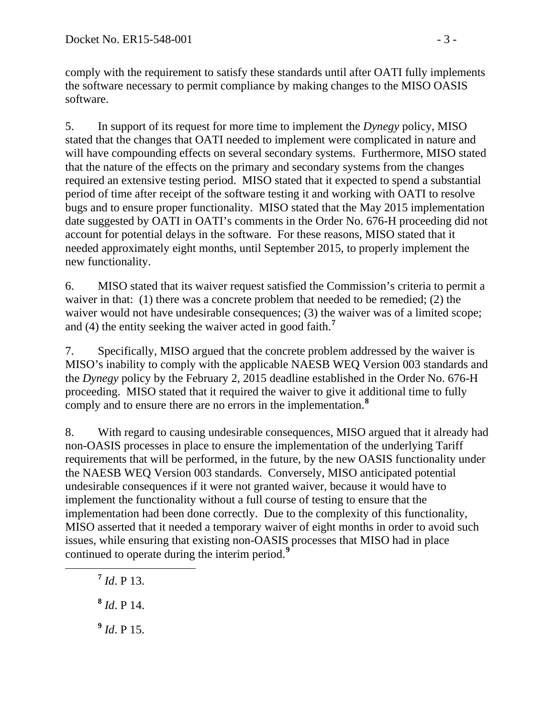comply with the requirement to satisfy these standards until after OATI fully implements the software necessary to permit compliance by making changes to the MISO OASIS software.

5. In support of its request for more time to implement the *Dynegy* policy, MISO stated that the changes that OATI needed to implement were complicated in nature and will have compounding effects on several secondary systems. Furthermore, MISO stated that the nature of the effects on the primary and secondary systems from the changes required an extensive testing period. MISO stated that it expected to spend a substantial period of time after receipt of the software testing it and working with OATI to resolve bugs and to ensure proper functionality. MISO stated that the May 2015 implementation date suggested by OATI in OATI's comments in the Order No. 676-H proceeding did not account for potential delays in the software. For these reasons, MISO stated that it needed approximately eight months, until September 2015, to properly implement the new functionality.

6. MISO stated that its waiver request satisfied the Commission's criteria to permit a waiver in that: (1) there was a concrete problem that needed to be remedied; (2) the waiver would not have undesirable consequences; (3) the waiver was of a limited scope; and (4) the entity seeking the waiver acted in good faith.**[7](#page-2-0)**

7. Specifically, MISO argued that the concrete problem addressed by the waiver is MISO's inability to comply with the applicable NAESB WEQ Version 003 standards and the *Dynegy* policy by the February 2, 2015 deadline established in the Order No. 676-H proceeding. MISO stated that it required the waiver to give it additional time to fully comply and to ensure there are no errors in the implementation.**[8](#page-2-1)**

8. With regard to causing undesirable consequences, MISO argued that it already had non-OASIS processes in place to ensure the implementation of the underlying Tariff requirements that will be performed, in the future, by the new OASIS functionality under the NAESB WEQ Version 003 standards. Conversely, MISO anticipated potential undesirable consequences if it were not granted waiver, because it would have to implement the functionality without a full course of testing to ensure that the implementation had been done correctly. Due to the complexity of this functionality, MISO asserted that it needed a temporary waiver of eight months in order to avoid such issues, while ensuring that existing non-OASIS processes that MISO had in place continued to operate during the interim period. **[9](#page-2-2)**

<span id="page-2-0"></span>**<sup>7</sup>** *Id*. P 13.

<span id="page-2-1"></span>**<sup>8</sup>** *Id*. P 14.

<span id="page-2-2"></span>**<sup>9</sup>** *Id*. P 15.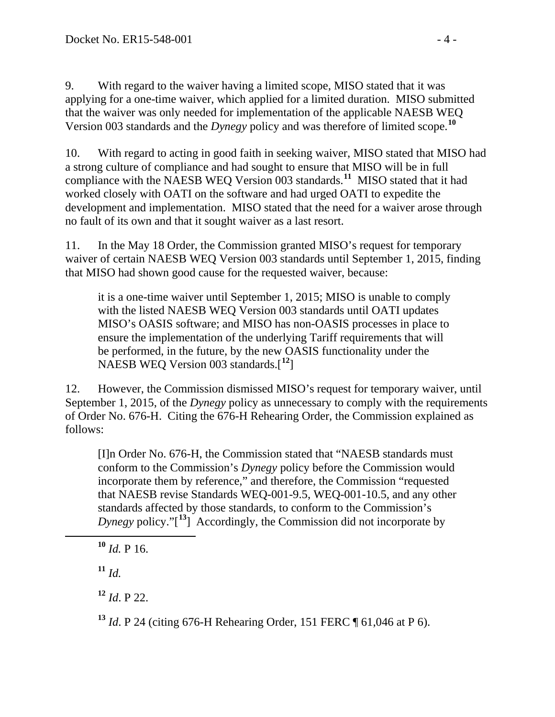9. With regard to the waiver having a limited scope, MISO stated that it was applying for a one-time waiver, which applied for a limited duration. MISO submitted that the waiver was only needed for implementation of the applicable NAESB WEQ Version 003 standards and the *Dynegy* policy and was therefore of limited scope.**[10](#page-3-0)**

10. With regard to acting in good faith in seeking waiver, MISO stated that MISO had a strong culture of compliance and had sought to ensure that MISO will be in full compliance with the NAESB WEQ Version 003 standards.**[11](#page-3-1)** MISO stated that it had worked closely with OATI on the software and had urged OATI to expedite the development and implementation. MISO stated that the need for a waiver arose through no fault of its own and that it sought waiver as a last resort.

11. In the May 18 Order, the Commission granted MISO's request for temporary waiver of certain NAESB WEQ Version 003 standards until September 1, 2015, finding that MISO had shown good cause for the requested waiver, because:

it is a one-time waiver until September 1, 2015; MISO is unable to comply with the listed NAESB WEQ Version 003 standards until OATI updates MISO's OASIS software; and MISO has non-OASIS processes in place to ensure the implementation of the underlying Tariff requirements that will be performed, in the future, by the new OASIS functionality under the NAESB WEQ Version 003 standards.[ **[12](#page-3-2)**]

12. However, the Commission dismissed MISO's request for temporary waiver, until September 1, 2015, of the *Dynegy* policy as unnecessary to comply with the requirements of Order No. 676-H. Citing the 676-H Rehearing Order, the Commission explained as follows:

[I]n Order No. 676-H, the Commission stated that "NAESB standards must conform to the Commission's *Dynegy* policy before the Commission would incorporate them by reference," and therefore, the Commission "requested that NAESB revise Standards WEQ-001-9.5, WEQ-001-10.5, and any other standards affected by those standards, to conform to the Commission's *Dynegy* policy."[ **[13](#page-3-3)**] Accordingly, the Commission did not incorporate by

<span id="page-3-2"></span>**<sup>12</sup>** *Id*. P 22.

<span id="page-3-3"></span>**<sup>13</sup>** *Id*. P 24 (citing 676-H Rehearing Order, 151 FERC ¶ 61,046 at P 6).

<span id="page-3-0"></span> $10$  *Id.* P 16.

<span id="page-3-1"></span> $11 \, Id.$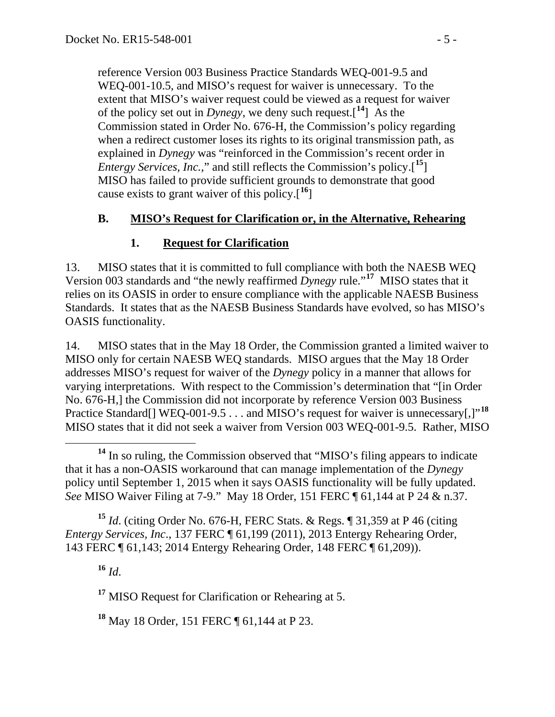reference Version 003 Business Practice Standards WEQ-001-9.5 and WEQ-001-10.5, and MISO's request for waiver is unnecessary. To the extent that MISO's waiver request could be viewed as a request for waiver of the policy set out in *Dynegy*, we deny such request.<sup>[[14](#page-4-0)</sup>] As the Commission stated in Order No. 676-H, the Commission's policy regarding when a redirect customer loses its rights to its original transmission path, as explained in *Dynegy* was "reinforced in the Commission's recent order in *Entergy Services, Inc.*," and still reflects the Commission's policy.[ **[15](#page-4-1)**] MISO has failed to provide sufficient grounds to demonstrate that good cause exists to grant waiver of this policy.[ **[16](#page-4-2)**]

## **B. MISO's Request for Clarification or, in the Alternative, Rehearing**

## **1. Request for Clarification**

13. MISO states that it is committed to full compliance with both the NAESB WEQ Version 003 standards and "the newly reaffirmed *Dynegy* rule."**[17](#page-4-3)** MISO states that it relies on its OASIS in order to ensure compliance with the applicable NAESB Business Standards. It states that as the NAESB Business Standards have evolved, so has MISO's OASIS functionality.

14. MISO states that in the May 18 Order, the Commission granted a limited waiver to MISO only for certain NAESB WEQ standards. MISO argues that the May 18 Order addresses MISO's request for waiver of the *Dynegy* policy in a manner that allows for varying interpretations. With respect to the Commission's determination that "[in Order No. 676-H,] the Commission did not incorporate by reference Version 003 Business Practice Standard[] WEQ-001-9.5 . . . and MISO's request for waiver is unnecessary[,]"<sup>[18](#page-4-4)</sup> MISO states that it did not seek a waiver from Version 003 WEQ-001-9.5. Rather, MISO

<span id="page-4-2"></span><span id="page-4-1"></span>**<sup>15</sup>** *Id*. (citing Order No. 676-H, FERC Stats. & Regs. ¶ 31,359 at P 46 (citing *Entergy Services, Inc*., 137 FERC ¶ 61,199 (2011), 2013 Entergy Rehearing Order, 143 FERC ¶ 61,143; 2014 Entergy Rehearing Order, 148 FERC ¶ 61,209)).

**<sup>16</sup>** *Id*.

<span id="page-4-3"></span>**<sup>17</sup>** MISO Request for Clarification or Rehearing at 5.

<span id="page-4-4"></span>**<sup>18</sup>** May 18 Order, 151 FERC ¶ 61,144 at P 23.

<span id="page-4-0"></span>**<sup>14</sup>** In so ruling, the Commission observed that "MISO's filing appears to indicate that it has a non-OASIS workaround that can manage implementation of the *Dynegy*  policy until September 1, 2015 when it says OASIS functionality will be fully updated. *See* MISO Waiver Filing at 7-9." May 18 Order, 151 FERC ¶ 61,144 at P 24 & n.37.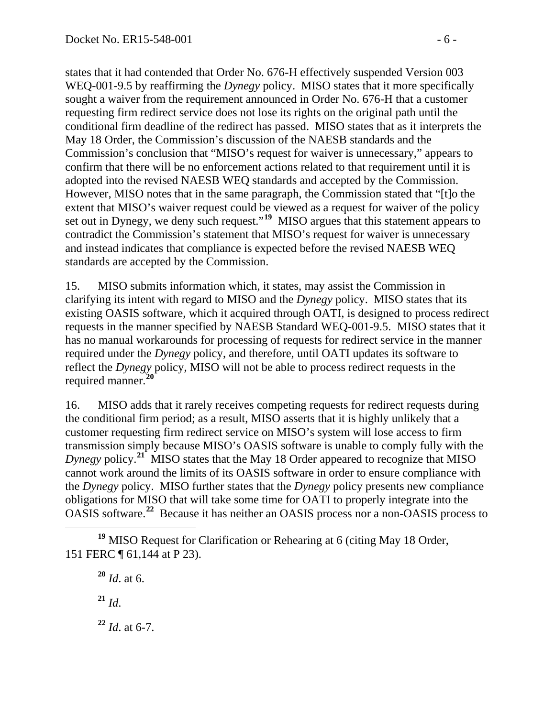states that it had contended that Order No. 676-H effectively suspended Version 003 WEQ-001-9.5 by reaffirming the *Dynegy* policy. MISO states that it more specifically sought a waiver from the requirement announced in Order No. 676-H that a customer requesting firm redirect service does not lose its rights on the original path until the conditional firm deadline of the redirect has passed. MISO states that as it interprets the May 18 Order, the Commission's discussion of the NAESB standards and the Commission's conclusion that "MISO's request for waiver is unnecessary," appears to confirm that there will be no enforcement actions related to that requirement until it is adopted into the revised NAESB WEQ standards and accepted by the Commission. However, MISO notes that in the same paragraph, the Commission stated that "[t]o the extent that MISO's waiver request could be viewed as a request for waiver of the policy set out in Dynegy, we deny such request."<sup>[19](#page-5-0)</sup> MISO argues that this statement appears to contradict the Commission's statement that MISO's request for waiver is unnecessary and instead indicates that compliance is expected before the revised NAESB WEQ standards are accepted by the Commission.

15. MISO submits information which, it states, may assist the Commission in clarifying its intent with regard to MISO and the *Dynegy* policy. MISO states that its existing OASIS software, which it acquired through OATI, is designed to process redirect requests in the manner specified by NAESB Standard WEQ-001-9.5. MISO states that it has no manual workarounds for processing of requests for redirect service in the manner required under the *Dynegy* policy, and therefore, until OATI updates its software to reflect the *Dynegy* policy, MISO will not be able to process redirect requests in the required manner.**[20](#page-5-1)**

16. MISO adds that it rarely receives competing requests for redirect requests during the conditional firm period; as a result, MISO asserts that it is highly unlikely that a customer requesting firm redirect service on MISO's system will lose access to firm transmission simply because MISO's OASIS software is unable to comply fully with the *Dynegy* policy. **[21](#page-5-2)** MISO states that the May 18 Order appeared to recognize that MISO cannot work around the limits of its OASIS software in order to ensure compliance with the *Dynegy* policy. MISO further states that the *Dynegy* policy presents new compliance obligations for MISO that will take some time for OATI to properly integrate into the OASIS software.**[22](#page-5-3)** Because it has neither an OASIS process nor a non-OASIS process to

**<sup>20</sup>** *Id*. at 6.

**<sup>21</sup>** *Id*.

<span id="page-5-3"></span>**<sup>22</sup>** *Id*. at 6-7.

<span id="page-5-2"></span><span id="page-5-1"></span><span id="page-5-0"></span>**<sup>19</sup>** MISO Request for Clarification or Rehearing at 6 (citing May 18 Order, 151 FERC ¶ 61,144 at P 23).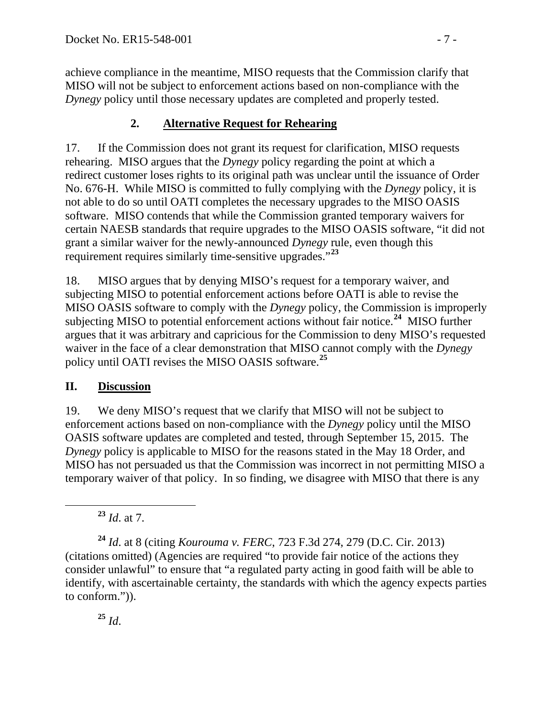achieve compliance in the meantime, MISO requests that the Commission clarify that MISO will not be subject to enforcement actions based on non-compliance with the *Dynegy* policy until those necessary updates are completed and properly tested.

# **2. Alternative Request for Rehearing**

17. If the Commission does not grant its request for clarification, MISO requests rehearing. MISO argues that the *Dynegy* policy regarding the point at which a redirect customer loses rights to its original path was unclear until the issuance of Order No. 676-H. While MISO is committed to fully complying with the *Dynegy* policy, it is not able to do so until OATI completes the necessary upgrades to the MISO OASIS software. MISO contends that while the Commission granted temporary waivers for certain NAESB standards that require upgrades to the MISO OASIS software, "it did not grant a similar waiver for the newly-announced *Dynegy* rule, even though this requirement requires similarly time-sensitive upgrades."**[23](#page-6-0)**

18. MISO argues that by denying MISO's request for a temporary waiver, and subjecting MISO to potential enforcement actions before OATI is able to revise the MISO OASIS software to comply with the *Dynegy* policy, the Commission is improperly subjecting MISO to potential enforcement actions without fair notice.**[24](#page-6-1)** MISO further argues that it was arbitrary and capricious for the Commission to deny MISO's requested waiver in the face of a clear demonstration that MISO cannot comply with the *Dynegy* policy until OATI revises the MISO OASIS software. **[25](#page-6-2)**

# **II. Discussion**

19. We deny MISO's request that we clarify that MISO will not be subject to enforcement actions based on non-compliance with the *Dynegy* policy until the MISO OASIS software updates are completed and tested, through September 15, 2015. The *Dynegy* policy is applicable to MISO for the reasons stated in the May 18 Order, and MISO has not persuaded us that the Commission was incorrect in not permitting MISO a temporary waiver of that policy. In so finding, we disagree with MISO that there is any

**<sup>23</sup>** *Id*. at 7.

<span id="page-6-1"></span><span id="page-6-0"></span>**<sup>24</sup>** *Id*. at 8 (citing *Kourouma v. FERC*, 723 F.3d 274, 279 (D.C. Cir. 2013) (citations omitted) (Agencies are required "to provide fair notice of the actions they consider unlawful" to ensure that "a regulated party acting in good faith will be able to identify, with ascertainable certainty, the standards with which the agency expects parties to conform.")).

<span id="page-6-2"></span>**<sup>25</sup>** *Id*.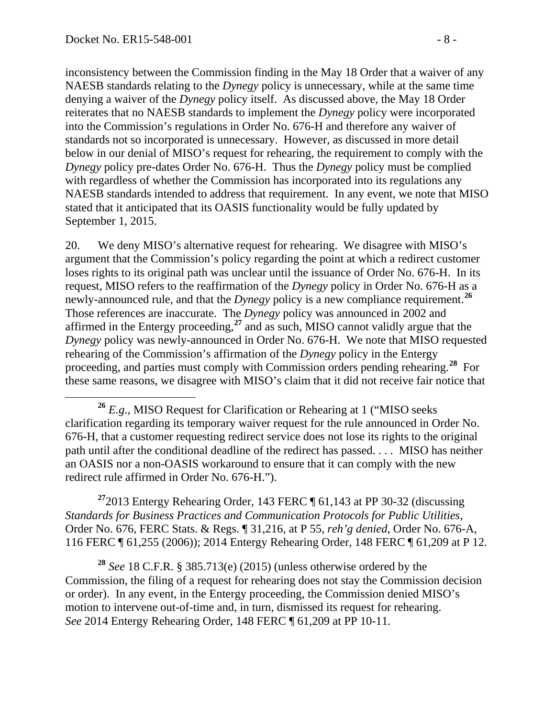inconsistency between the Commission finding in the May 18 Order that a waiver of any NAESB standards relating to the *Dynegy* policy is unnecessary, while at the same time denying a waiver of the *Dynegy* policy itself. As discussed above, the May 18 Order reiterates that no NAESB standards to implement the *Dynegy* policy were incorporated into the Commission's regulations in Order No. 676-H and therefore any waiver of standards not so incorporated is unnecessary. However, as discussed in more detail below in our denial of MISO's request for rehearing, the requirement to comply with the *Dynegy* policy pre-dates Order No. 676-H. Thus the *Dynegy* policy must be complied with regardless of whether the Commission has incorporated into its regulations any NAESB standards intended to address that requirement. In any event, we note that MISO stated that it anticipated that its OASIS functionality would be fully updated by September 1, 2015.

20. We deny MISO's alternative request for rehearing. We disagree with MISO's argument that the Commission's policy regarding the point at which a redirect customer loses rights to its original path was unclear until the issuance of Order No. 676-H. In its request, MISO refers to the reaffirmation of the *Dynegy* policy in Order No. 676-H as a newly-announced rule, and that the *Dynegy* policy is a new compliance requirement. **[26](#page-7-0)** Those references are inaccurate. The *Dynegy* policy was announced in 2002 and affirmed in the Entergy proceeding, **[27](#page-7-1)** and as such, MISO cannot validly argue that the *Dynegy* policy was newly-announced in Order No. 676-H. We note that MISO requested rehearing of the Commission's affirmation of the *Dynegy* policy in the Entergy proceeding, and parties must comply with Commission orders pending rehearing.**[28](#page-7-2)** For these same reasons, we disagree with MISO's claim that it did not receive fair notice that

<span id="page-7-1"></span>**<sup>27</sup>**2013 Entergy Rehearing Order, 143 FERC ¶ 61,143 at PP 30-32 (discussing *Standards for Business Practices and Communication Protocols for Public Utilities*, Order No. 676, FERC Stats. & Regs. ¶ 31,216, at P 55, *reh'g denied*, Order No. 676-A, 116 FERC ¶ 61,255 (2006)); 2014 Entergy Rehearing Order, 148 FERC ¶ 61,209 at P 12.

<span id="page-7-2"></span>**<sup>28</sup>** *See* 18 C.F.R. § 385.713(e) (2015) (unless otherwise ordered by the Commission, the filing of a request for rehearing does not stay the Commission decision or order). In any event, in the Entergy proceeding, the Commission denied MISO's motion to intervene out-of-time and, in turn, dismissed its request for rehearing. *See* 2014 Entergy Rehearing Order, 148 FERC ¶ 61,209 at PP 10-11.

<span id="page-7-0"></span>**<sup>26</sup>** *E.g*., MISO Request for Clarification or Rehearing at 1 ("MISO seeks clarification regarding its temporary waiver request for the rule announced in Order No. 676-H, that a customer requesting redirect service does not lose its rights to the original path until after the conditional deadline of the redirect has passed. . . . MISO has neither an OASIS nor a non-OASIS workaround to ensure that it can comply with the new redirect rule affirmed in Order No. 676-H.").